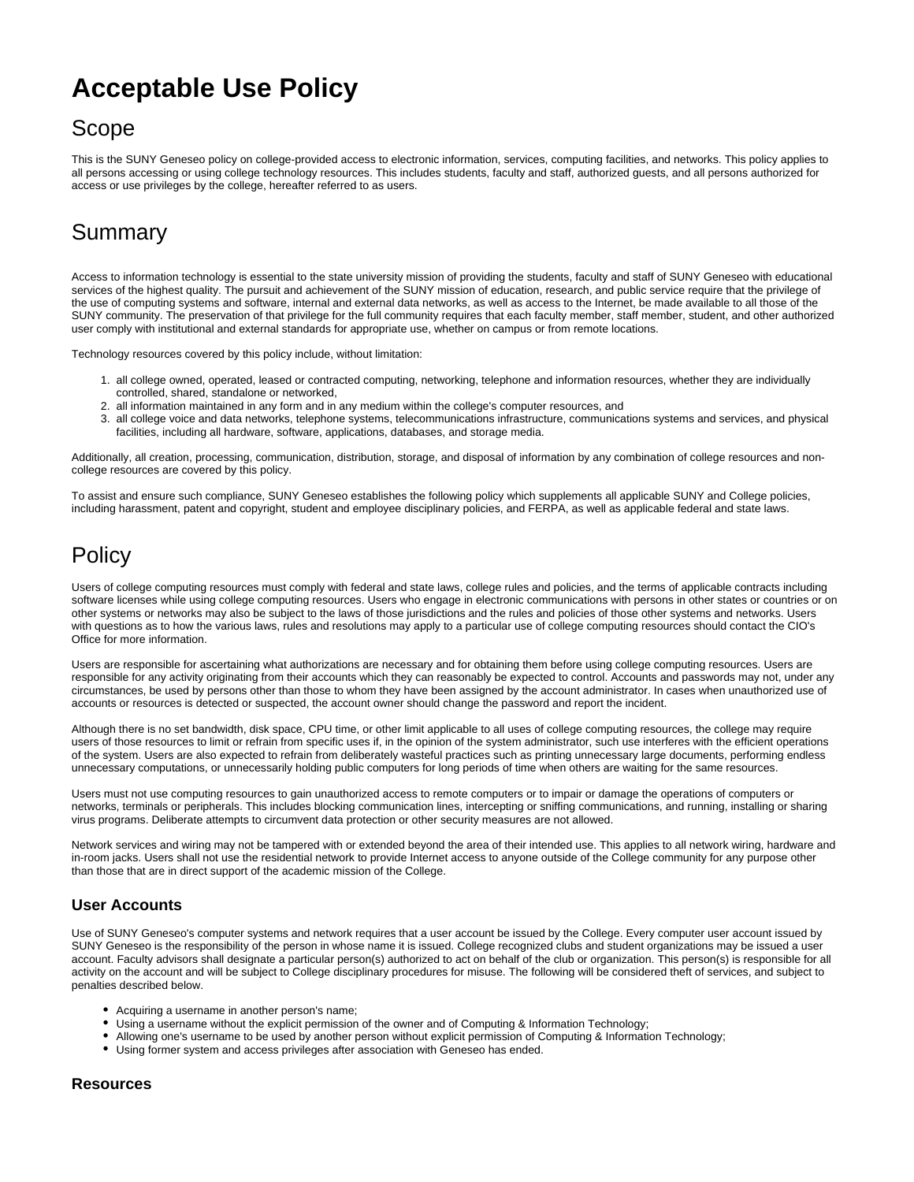# **Acceptable Use Policy**

## Scope

This is the SUNY Geneseo policy on college-provided access to electronic information, services, computing facilities, and networks. This policy applies to all persons accessing or using college technology resources. This includes students, faculty and staff, authorized guests, and all persons authorized for access or use privileges by the college, hereafter referred to as users.

# Summary

Access to information technology is essential to the state university mission of providing the students, faculty and staff of SUNY Geneseo with educational services of the highest quality. The pursuit and achievement of the SUNY mission of education, research, and public service require that the privilege of the use of computing systems and software, internal and external data networks, as well as access to the Internet, be made available to all those of the SUNY community. The preservation of that privilege for the full community requires that each faculty member, staff member, student, and other authorized user comply with institutional and external standards for appropriate use, whether on campus or from remote locations.

Technology resources covered by this policy include, without limitation:

- 1. all college owned, operated, leased or contracted computing, networking, telephone and information resources, whether they are individually controlled, shared, standalone or networked,
- 2. all information maintained in any form and in any medium within the college's computer resources, and
- 3. all college voice and data networks, telephone systems, telecommunications infrastructure, communications systems and services, and physical facilities, including all hardware, software, applications, databases, and storage media.

Additionally, all creation, processing, communication, distribution, storage, and disposal of information by any combination of college resources and noncollege resources are covered by this policy.

To assist and ensure such compliance, SUNY Geneseo establishes the following policy which supplements all applicable SUNY and College policies, including harassment, patent and copyright, student and employee disciplinary policies, and FERPA, as well as applicable federal and state laws.

## **Policy**

Users of college computing resources must comply with federal and state laws, college rules and policies, and the terms of applicable contracts including software licenses while using college computing resources. Users who engage in electronic communications with persons in other states or countries or on other systems or networks may also be subject to the laws of those jurisdictions and the rules and policies of those other systems and networks. Users with questions as to how the various laws, rules and resolutions may apply to a particular use of college computing resources should contact the CIO's Office for more information.

Users are responsible for ascertaining what authorizations are necessary and for obtaining them before using college computing resources. Users are responsible for any activity originating from their accounts which they can reasonably be expected to control. Accounts and passwords may not, under any circumstances, be used by persons other than those to whom they have been assigned by the account administrator. In cases when unauthorized use of accounts or resources is detected or suspected, the account owner should change the password and report the incident.

Although there is no set bandwidth, disk space, CPU time, or other limit applicable to all uses of college computing resources, the college may require users of those resources to limit or refrain from specific uses if, in the opinion of the system administrator, such use interferes with the efficient operations of the system. Users are also expected to refrain from deliberately wasteful practices such as printing unnecessary large documents, performing endless unnecessary computations, or unnecessarily holding public computers for long periods of time when others are waiting for the same resources.

Users must not use computing resources to gain unauthorized access to remote computers or to impair or damage the operations of computers or networks, terminals or peripherals. This includes blocking communication lines, intercepting or sniffing communications, and running, installing or sharing virus programs. Deliberate attempts to circumvent data protection or other security measures are not allowed.

Network services and wiring may not be tampered with or extended beyond the area of their intended use. This applies to all network wiring, hardware and in-room jacks. Users shall not use the residential network to provide Internet access to anyone outside of the College community for any purpose other than those that are in direct support of the academic mission of the College.

### **User Accounts**

Use of SUNY Geneseo's computer systems and network requires that a user account be issued by the College. Every computer user account issued by SUNY Geneseo is the responsibility of the person in whose name it is issued. College recognized clubs and student organizations may be issued a user account. Faculty advisors shall designate a particular person(s) authorized to act on behalf of the club or organization. This person(s) is responsible for all activity on the account and will be subject to College disciplinary procedures for misuse. The following will be considered theft of services, and subject to penalties described below.

- Acquiring a username in another person's name;
- Using a username without the explicit permission of the owner and of Computing & Information Technology;
- Allowing one's username to be used by another person without explicit permission of Computing & Information Technology;
- Using former system and access privileges after association with Geneseo has ended.

#### **Resources**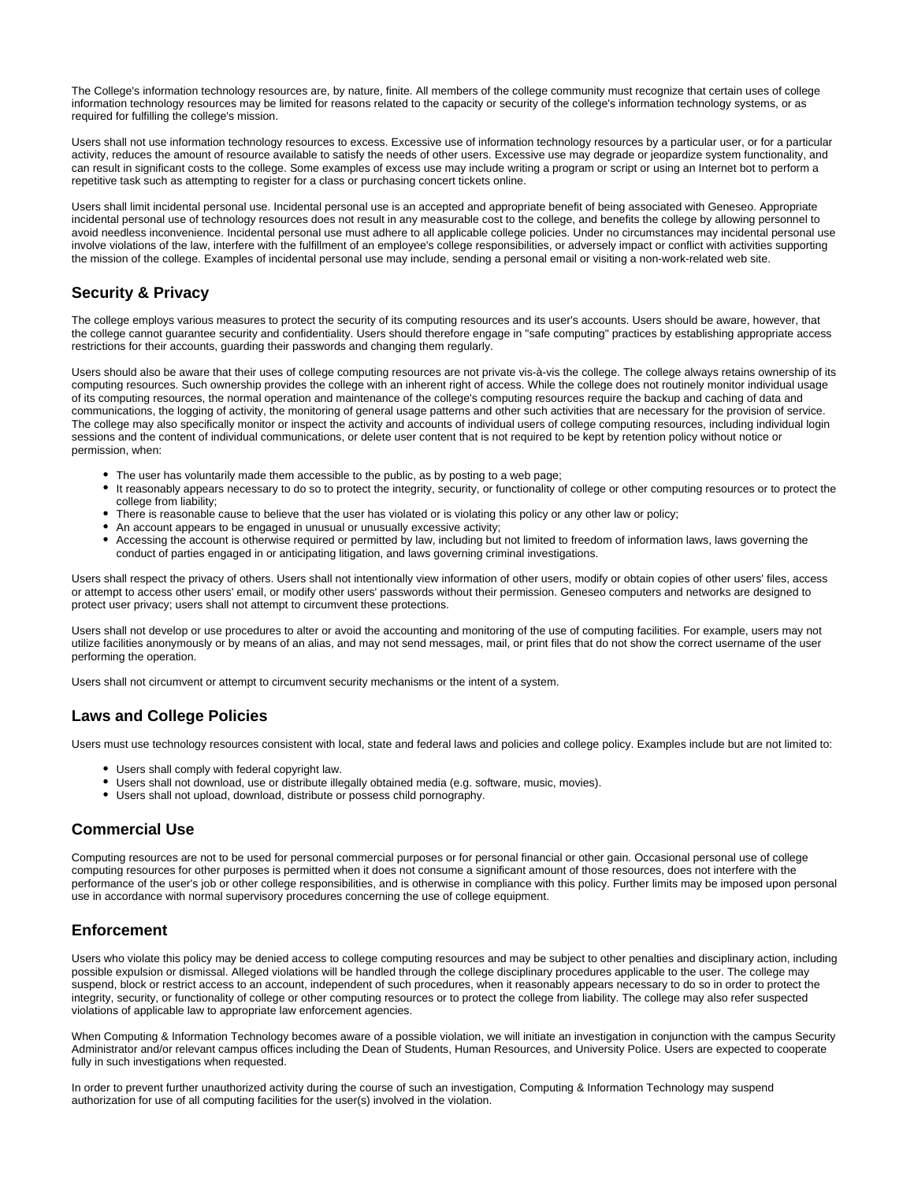The College's information technology resources are, by nature, finite. All members of the college community must recognize that certain uses of college information technology resources may be limited for reasons related to the capacity or security of the college's information technology systems, or as required for fulfilling the college's mission.

Users shall not use information technology resources to excess. Excessive use of information technology resources by a particular user, or for a particular activity, reduces the amount of resource available to satisfy the needs of other users. Excessive use may degrade or jeopardize system functionality, and can result in significant costs to the college. Some examples of excess use may include writing a program or script or using an Internet bot to perform a repetitive task such as attempting to register for a class or purchasing concert tickets online.

Users shall limit incidental personal use. Incidental personal use is an accepted and appropriate benefit of being associated with Geneseo. Appropriate incidental personal use of technology resources does not result in any measurable cost to the college, and benefits the college by allowing personnel to avoid needless inconvenience. Incidental personal use must adhere to all applicable college policies. Under no circumstances may incidental personal use involve violations of the law, interfere with the fulfillment of an employee's college responsibilities, or adversely impact or conflict with activities supporting the mission of the college. Examples of incidental personal use may include, sending a personal email or visiting a non-work-related web site.

### **Security & Privacy**

The college employs various measures to protect the security of its computing resources and its user's accounts. Users should be aware, however, that the college cannot guarantee security and confidentiality. Users should therefore engage in "safe computing" practices by establishing appropriate access restrictions for their accounts, guarding their passwords and changing them regularly.

Users should also be aware that their uses of college computing resources are not private vis-à-vis the college. The college always retains ownership of its computing resources. Such ownership provides the college with an inherent right of access. While the college does not routinely monitor individual usage of its computing resources, the normal operation and maintenance of the college's computing resources require the backup and caching of data and communications, the logging of activity, the monitoring of general usage patterns and other such activities that are necessary for the provision of service. The college may also specifically monitor or inspect the activity and accounts of individual users of college computing resources, including individual login sessions and the content of individual communications, or delete user content that is not required to be kept by retention policy without notice or permission, when:

- The user has voluntarily made them accessible to the public, as by posting to a web page;
- It reasonably appears necessary to do so to protect the integrity, security, or functionality of college or other computing resources or to protect the college from liability;
- There is reasonable cause to believe that the user has violated or is violating this policy or any other law or policy;
- An account appears to be engaged in unusual or unusually excessive activity;
- Accessing the account is otherwise required or permitted by law, including but not limited to freedom of information laws, laws governing the conduct of parties engaged in or anticipating litigation, and laws governing criminal investigations.

Users shall respect the privacy of others. Users shall not intentionally view information of other users, modify or obtain copies of other users' files, access or attempt to access other users' email, or modify other users' passwords without their permission. Geneseo computers and networks are designed to protect user privacy; users shall not attempt to circumvent these protections.

Users shall not develop or use procedures to alter or avoid the accounting and monitoring of the use of computing facilities. For example, users may not utilize facilities anonymously or by means of an alias, and may not send messages, mail, or print files that do not show the correct username of the user performing the operation.

Users shall not circumvent or attempt to circumvent security mechanisms or the intent of a system.

### **Laws and College Policies**

Users must use technology resources consistent with local, state and federal laws and policies and college policy. Examples include but are not limited to:

- Users shall comply with federal copyright law.
- Users shall not download, use or distribute illegally obtained media (e.g. software, music, movies).
- Users shall not upload, download, distribute or possess child pornography.

### **Commercial Use**

Computing resources are not to be used for personal commercial purposes or for personal financial or other gain. Occasional personal use of college computing resources for other purposes is permitted when it does not consume a significant amount of those resources, does not interfere with the performance of the user's job or other college responsibilities, and is otherwise in compliance with this policy. Further limits may be imposed upon personal use in accordance with normal supervisory procedures concerning the use of college equipment.

### **Enforcement**

Users who violate this policy may be denied access to college computing resources and may be subject to other penalties and disciplinary action, including possible expulsion or dismissal. Alleged violations will be handled through the college disciplinary procedures applicable to the user. The college may suspend, block or restrict access to an account, independent of such procedures, when it reasonably appears necessary to do so in order to protect the integrity, security, or functionality of college or other computing resources or to protect the college from liability. The college may also refer suspected violations of applicable law to appropriate law enforcement agencies.

When Computing & Information Technology becomes aware of a possible violation, we will initiate an investigation in conjunction with the campus Security Administrator and/or relevant campus offices including the Dean of Students, Human Resources, and University Police. Users are expected to cooperate fully in such investigations when requested.

In order to prevent further unauthorized activity during the course of such an investigation, Computing & Information Technology may suspend authorization for use of all computing facilities for the user(s) involved in the violation.